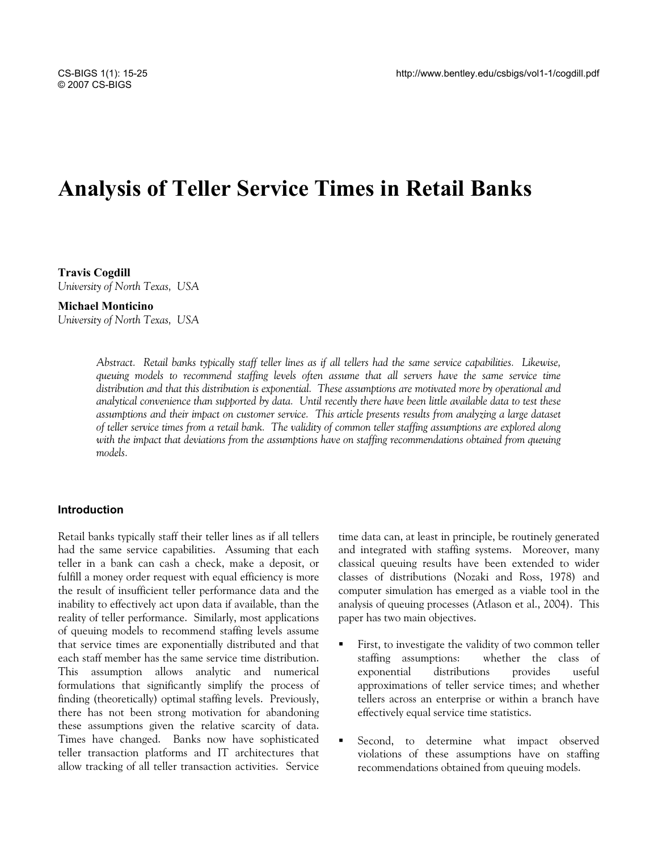# **Analysis of Teller Service Times in Retail Banks**

**Travis Cogdill**  *University of North Texas, USA* 

#### **Michael Monticino**

*University of North Texas, USA* 

*Abstract. Retail banks typically staff teller lines as if all tellers had the same service capabilities. Likewise, queuing models to recommend staffing levels often assume that all servers have the same service time distribution and that this distribution is exponential. These assumptions are motivated more by operational and analytical convenience than supported by data. Until recently there have been little available data to test these assumptions and their impact on customer service. This article presents results from analyzing a large dataset of teller service times from a retail bank. The validity of common teller staffing assumptions are explored along with the impact that deviations from the assumptions have on staffing recommendations obtained from queuing models.* 

#### **Introduction**

Retail banks typically staff their teller lines as if all tellers had the same service capabilities. Assuming that each teller in a bank can cash a check, make a deposit, or fulfill a money order request with equal efficiency is more the result of insufficient teller performance data and the inability to effectively act upon data if available, than the reality of teller performance. Similarly, most applications of queuing models to recommend staffing levels assume that service times are exponentially distributed and that each staff member has the same service time distribution. This assumption allows analytic and numerical formulations that significantly simplify the process of finding (theoretically) optimal staffing levels. Previously, there has not been strong motivation for abandoning these assumptions given the relative scarcity of data. Times have changed. Banks now have sophisticated teller transaction platforms and IT architectures that allow tracking of all teller transaction activities. Service

time data can, at least in principle, be routinely generated and integrated with staffing systems. Moreover, many classical queuing results have been extended to wider classes of distributions (Nozaki and Ross, 1978) and computer simulation has emerged as a viable tool in the analysis of queuing processes (Atlason et al., 2004). This paper has two main objectives.

- First, to investigate the validity of two common teller staffing assumptions: whether the class of exponential distributions provides useful approximations of teller service times; and whether tellers across an enterprise or within a branch have effectively equal service time statistics.
- Second, to determine what impact observed violations of these assumptions have on staffing recommendations obtained from queuing models.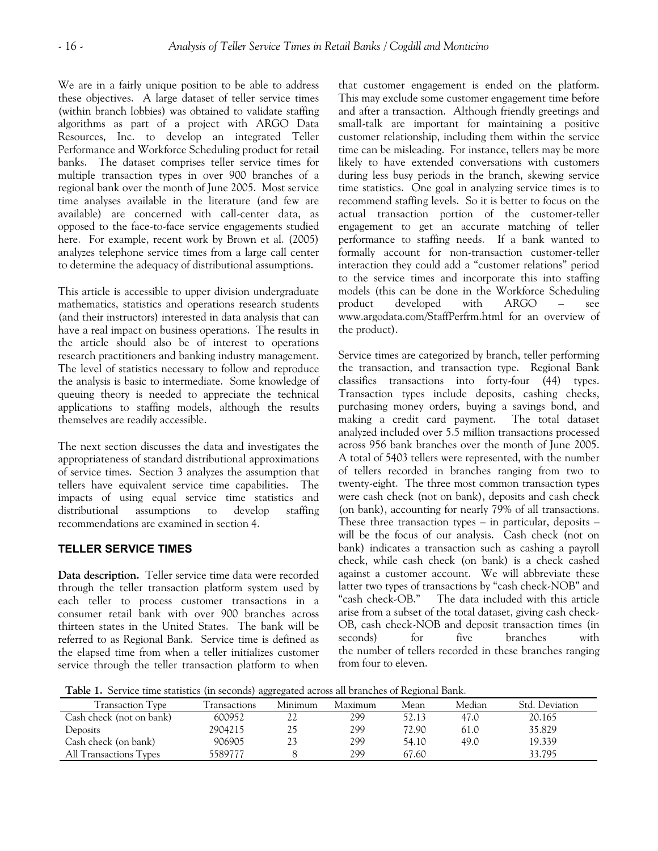We are in a fairly unique position to be able to address these objectives. A large dataset of teller service times (within branch lobbies) was obtained to validate staffing algorithms as part of a project with ARGO Data Resources, Inc. to develop an integrated Teller Performance and Workforce Scheduling product for retail banks. The dataset comprises teller service times for multiple transaction types in over 900 branches of a regional bank over the month of June 2005. Most service time analyses available in the literature (and few are available) are concerned with call-center data, as opposed to the face-to-face service engagements studied here. For example, recent work by Brown et al. (2005) analyzes telephone service times from a large call center to determine the adequacy of distributional assumptions.

This article is accessible to upper division undergraduate mathematics, statistics and operations research students (and their instructors) interested in data analysis that can have a real impact on business operations. The results in the article should also be of interest to operations research practitioners and banking industry management. The level of statistics necessary to follow and reproduce the analysis is basic to intermediate. Some knowledge of queuing theory is needed to appreciate the technical applications to staffing models, although the results themselves are readily accessible.

The next section discusses the data and investigates the appropriateness of standard distributional approximations of service times. Section 3 analyzes the assumption that tellers have equivalent service time capabilities. The impacts of using equal service time statistics and distributional assumptions to develop staffing recommendations are examined in section 4.

## **TELLER SERVICE TIMES**

**Data description.** Teller service time data were recorded through the teller transaction platform system used by each teller to process customer transactions in a consumer retail bank with over 900 branches across thirteen states in the United States. The bank will be referred to as Regional Bank. Service time is defined as the elapsed time from when a teller initializes customer service through the teller transaction platform to when that customer engagement is ended on the platform. This may exclude some customer engagement time before and after a transaction. Although friendly greetings and small-talk are important for maintaining a positive customer relationship, including them within the service time can be misleading. For instance, tellers may be more likely to have extended conversations with customers during less busy periods in the branch, skewing service time statistics. One goal in analyzing service times is to recommend staffing levels. So it is better to focus on the actual transaction portion of the customer-teller engagement to get an accurate matching of teller performance to staffing needs. If a bank wanted to formally account for non-transaction customer-teller interaction they could add a "customer relations" period to the service times and incorporate this into staffing models (this can be done in the Workforce Scheduling product developed with ARGO – see www.argodata.com/StaffPerfrm.html for an overview of the product).

Service times are categorized by branch, teller performing the transaction, and transaction type. Regional Bank classifies transactions into forty-four (44) types. Transaction types include deposits, cashing checks, purchasing money orders, buying a savings bond, and making a credit card payment. The total dataset analyzed included over 5.5 million transactions processed across 956 bank branches over the month of June 2005. A total of 5403 tellers were represented, with the number of tellers recorded in branches ranging from two to twenty-eight. The three most common transaction types were cash check (not on bank), deposits and cash check (on bank), accounting for nearly 79% of all transactions. These three transaction types  $-$  in particular, deposits  $$ will be the focus of our analysis. Cash check (not on bank) indicates a transaction such as cashing a payroll check, while cash check (on bank) is a check cashed against a customer account. We will abbreviate these latter two types of transactions by "cash check-NOB" and "cash check-OB." The data included with this article arise from a subset of the total dataset, giving cash check-OB, cash check-NOB and deposit transaction times (in seconds) for five branches with the number of tellers recorded in these branches ranging from four to eleven.

**Table 1.** Service time statistics (in seconds) aggregated across all branches of Regional Bank.

| <b>Tuble 1.</b> Oct rice three statistics (in seconds) aggregated across an branches of regromar bank. |              |         |         |       |        |                |  |  |
|--------------------------------------------------------------------------------------------------------|--------------|---------|---------|-------|--------|----------------|--|--|
| Transaction Type                                                                                       | Transactions | Minimum | Maximum | Mean  | Median | Std. Deviation |  |  |
| Cash check (not on bank)                                                                               | 600952       | 22      | 299     | 52.13 | 47.0   | 20.165         |  |  |
| Deposits                                                                                               | 2904215      | 25      | 299     | 72.90 | 61.0   | 35.829         |  |  |
| Cash check (on bank)                                                                                   | 906905       | 23      | 299     | 54.10 | 49.0   | 19.339         |  |  |
| All Transactions Types                                                                                 | 5589777      |         | 299     | 67.60 |        | 33.795         |  |  |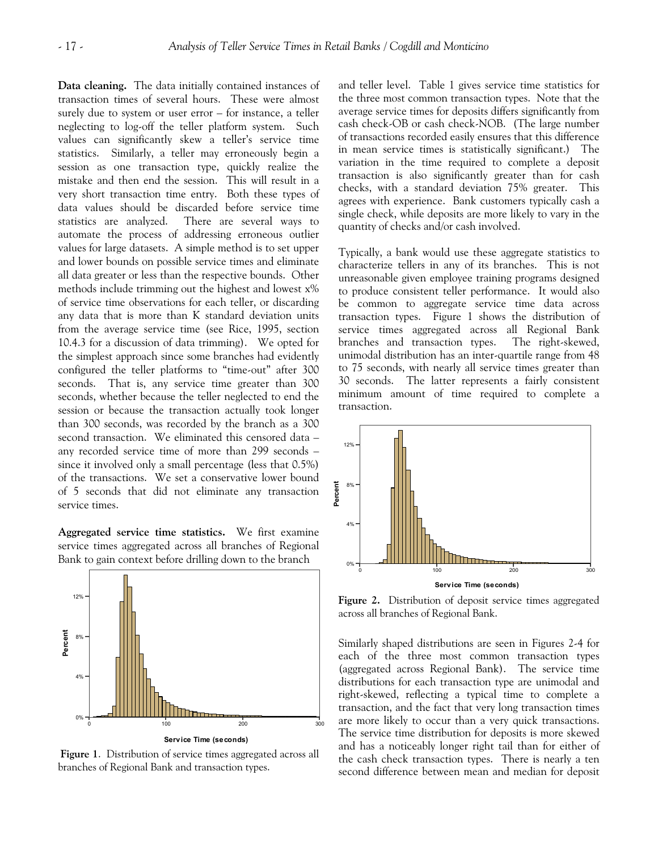**Data cleaning.** The data initially contained instances of transaction times of several hours. These were almost surely due to system or user error – for instance, a teller neglecting to log-off the teller platform system. Such values can significantly skew a teller's service time statistics. Similarly, a teller may erroneously begin a session as one transaction type, quickly realize the mistake and then end the session. This will result in a very short transaction time entry. Both these types of data values should be discarded before service time statistics are analyzed. There are several ways to automate the process of addressing erroneous outlier values for large datasets. A simple method is to set upper and lower bounds on possible service times and eliminate all data greater or less than the respective bounds. Other methods include trimming out the highest and lowest x% of service time observations for each teller, or discarding any data that is more than K standard deviation units from the average service time (see Rice, 1995, section 10.4.3 for a discussion of data trimming). We opted for the simplest approach since some branches had evidently configured the teller platforms to "time-out" after 300 seconds. That is, any service time greater than 300 seconds, whether because the teller neglected to end the session or because the transaction actually took longer than 300 seconds, was recorded by the branch as a 300 second transaction. We eliminated this censored data – any recorded service time of more than 299 seconds – since it involved only a small percentage (less that 0.5%) of the transactions. We set a conservative lower bound of 5 seconds that did not eliminate any transaction service times.

**Aggregated service time statistics.** We first examine service times aggregated across all branches of Regional Bank to gain context before drilling down to the branch



**Figure 1**. Distribution of service times aggregated across all branches of Regional Bank and transaction types.

and teller level. Table 1 gives service time statistics for the three most common transaction types. Note that the average service times for deposits differs significantly from cash check-OB or cash check-NOB. (The large number of transactions recorded easily ensures that this difference in mean service times is statistically significant.) The variation in the time required to complete a deposit transaction is also significantly greater than for cash checks, with a standard deviation 75% greater. This agrees with experience. Bank customers typically cash a single check, while deposits are more likely to vary in the quantity of checks and/or cash involved.

Typically, a bank would use these aggregate statistics to characterize tellers in any of its branches. This is not unreasonable given employee training programs designed to produce consistent teller performance. It would also be common to aggregate service time data across transaction types. Figure 1 shows the distribution of service times aggregated across all Regional Bank branches and transaction types. The right-skewed, unimodal distribution has an inter-quartile range from 48 to 75 seconds, with nearly all service times greater than 30 seconds. The latter represents a fairly consistent minimum amount of time required to complete a transaction.



**Figure 2.** Distribution of deposit service times aggregated across all branches of Regional Bank.

Similarly shaped distributions are seen in Figures 2-4 for each of the three most common transaction types (aggregated across Regional Bank). The service time distributions for each transaction type are unimodal and right-skewed, reflecting a typical time to complete a transaction, and the fact that very long transaction times are more likely to occur than a very quick transactions. The service time distribution for deposits is more skewed and has a noticeably longer right tail than for either of the cash check transaction types. There is nearly a ten second difference between mean and median for deposit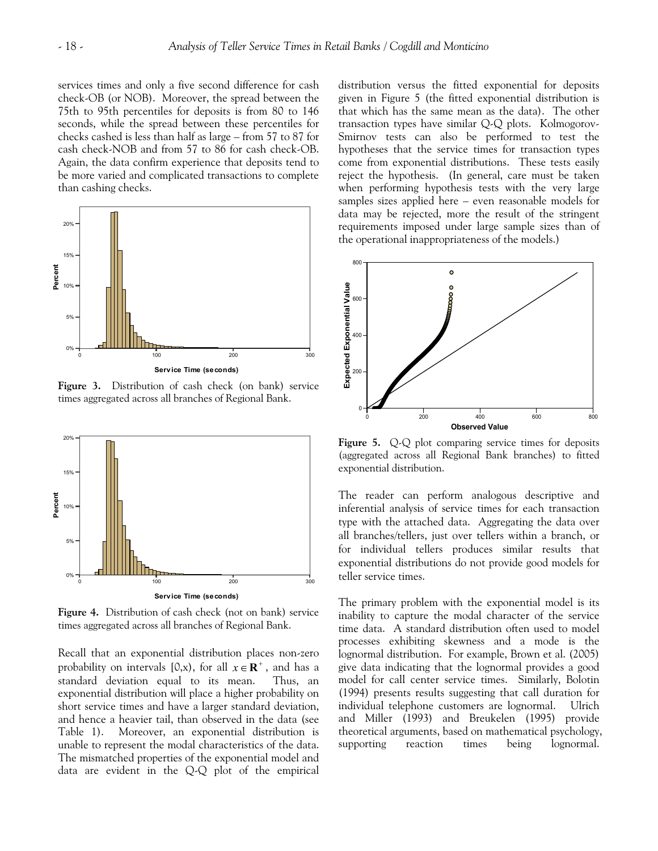services times and only a five second difference for cash check-OB (or NOB). Moreover, the spread between the 75th to 95th percentiles for deposits is from 80 to 146 seconds, while the spread between these percentiles for checks cashed is less than half as large – from 57 to 87 for cash check-NOB and from 57 to 86 for cash check-OB. Again, the data confirm experience that deposits tend to be more varied and complicated transactions to complete than cashing checks.



**Figure 3.** Distribution of cash check (on bank) service times aggregated across all branches of Regional Bank.



**Figure 4.** Distribution of cash check (not on bank) service times aggregated across all branches of Regional Bank.

Recall that an exponential distribution places non-zero probability on intervals [0,x), for all  $x \in \mathbb{R}^+$ , and has a standard deviation equal to its mean. Thus, an exponential distribution will place a higher probability on short service times and have a larger standard deviation, and hence a heavier tail, than observed in the data (see Table 1). Moreover, an exponential distribution is unable to represent the modal characteristics of the data. The mismatched properties of the exponential model and data are evident in the Q-Q plot of the empirical

distribution versus the fitted exponential for deposits given in Figure 5 (the fitted exponential distribution is that which has the same mean as the data). The other transaction types have similar Q-Q plots. Kolmogorov-Smirnov tests can also be performed to test the hypotheses that the service times for transaction types come from exponential distributions. These tests easily reject the hypothesis. (In general, care must be taken when performing hypothesis tests with the very large samples sizes applied here – even reasonable models for data may be rejected, more the result of the stringent requirements imposed under large sample sizes than of the operational inappropriateness of the models.)



Figure 5. Q-Q plot comparing service times for deposits (aggregated across all Regional Bank branches) to fitted exponential distribution.

The reader can perform analogous descriptive and inferential analysis of service times for each transaction type with the attached data. Aggregating the data over all branches/tellers, just over tellers within a branch, or for individual tellers produces similar results that exponential distributions do not provide good models for teller service times.

The primary problem with the exponential model is its inability to capture the modal character of the service time data. A standard distribution often used to model processes exhibiting skewness and a mode is the lognormal distribution. For example, Brown et al. (2005) give data indicating that the lognormal provides a good model for call center service times. Similarly, Bolotin (1994) presents results suggesting that call duration for individual telephone customers are lognormal. Ulrich and Miller (1993) and Breukelen (1995) provide theoretical arguments, based on mathematical psychology, supporting reaction times being lognormal.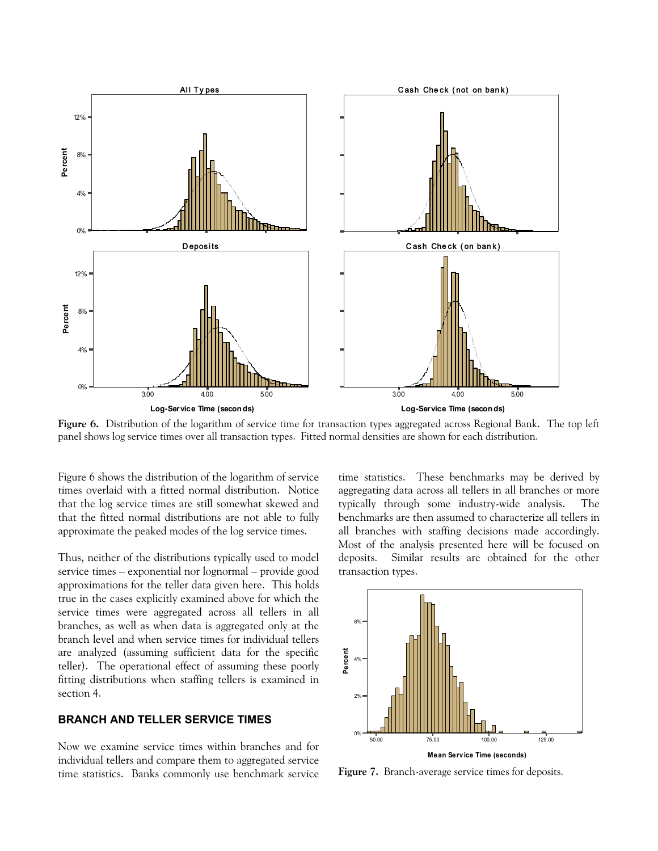

Figure 6. Distribution of the logarithm of service time for transaction types aggregated across Regional Bank. The top left panel shows log service times over all transaction types. Fitted normal densities are shown for each distribution.

Figure 6 shows the distribution of the logarithm of service times overlaid with a fitted normal distribution. Notice that the log service times are still somewhat skewed and that the fitted normal distributions are not able to fully approximate the peaked modes of the log service times.

Thus, neither of the distributions typically used to model service times – exponential nor lognormal – provide good approximations for the teller data given here. This holds true in the cases explicitly examined above for which the service times were aggregated across all tellers in all branches, as well as when data is aggregated only at the branch level and when service times for individual tellers are analyzed (assuming sufficient data for the specific teller). The operational effect of assuming these poorly fitting distributions when staffing tellers is examined in section 4.

### **BRANCH AND TELLER SERVICE TIMES**

Now we examine service times within branches and for individual tellers and compare them to aggregated service time statistics. Banks commonly use benchmark service time statistics. These benchmarks may be derived by aggregating data across all tellers in all branches or more typically through some industry-wide analysis. The benchmarks are then assumed to characterize all tellers in all branches with staffing decisions made accordingly. Most of the analysis presented here will be focused on deposits. Similar results are obtained for the other transaction types.



**Figure 7.** Branch-average service times for deposits.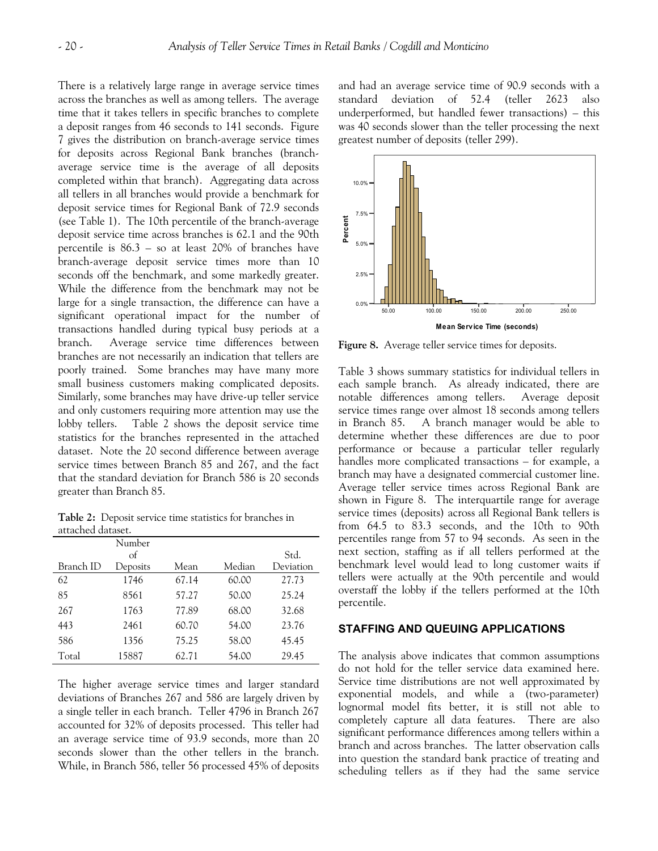There is a relatively large range in average service times across the branches as well as among tellers. The average time that it takes tellers in specific branches to complete a deposit ranges from 46 seconds to 141 seconds. Figure 7 gives the distribution on branch-average service times for deposits across Regional Bank branches (branchaverage service time is the average of all deposits completed within that branch). Aggregating data across all tellers in all branches would provide a benchmark for deposit service times for Regional Bank of 72.9 seconds (see Table 1). The 10th percentile of the branch-average deposit service time across branches is 62.1 and the 90th percentile is 86.3 – so at least 20% of branches have branch-average deposit service times more than 10 seconds off the benchmark, and some markedly greater. While the difference from the benchmark may not be large for a single transaction, the difference can have a significant operational impact for the number of transactions handled during typical busy periods at a branch. Average service time differences between branches are not necessarily an indication that tellers are poorly trained. Some branches may have many more small business customers making complicated deposits. Similarly, some branches may have drive-up teller service and only customers requiring more attention may use the lobby tellers. Table 2 shows the deposit service time statistics for the branches represented in the attached dataset. Note the 20 second difference between average service times between Branch 85 and 267, and the fact that the standard deviation for Branch 586 is 20 seconds greater than Branch 85.

**Table 2:** Deposit service time statistics for branches in attached dataset.

|           | Number     |       |        |           |
|-----------|------------|-------|--------|-----------|
|           | $\sigma$ f |       |        | Std.      |
| Branch ID | Deposits   | Mean  | Median | Deviation |
| 62        | 1746       | 67.14 | 60.00  | 27.73     |
| 85        | 8561       | 57.27 | 50.00  | 25.24     |
| 267       | 1763       | 77.89 | 68.00  | 32.68     |
| 443       | 2461       | 60.70 | 54.00  | 23.76     |
| 586       | 1356       | 75.25 | 58.00  | 45.45     |
| Total     | 15887      | 62.71 | 54.00  | 29.45     |

The higher average service times and larger standard deviations of Branches 267 and 586 are largely driven by a single teller in each branch. Teller 4796 in Branch 267 accounted for 32% of deposits processed. This teller had an average service time of 93.9 seconds, more than 20 seconds slower than the other tellers in the branch. While, in Branch 586, teller 56 processed 45% of deposits and had an average service time of 90.9 seconds with a standard deviation of 52.4 (teller 2623 also underperformed, but handled fewer transactions) – this was 40 seconds slower than the teller processing the next greatest number of deposits (teller 299).



**Figure 8.** Average teller service times for deposits.

Table 3 shows summary statistics for individual tellers in each sample branch. As already indicated, there are notable differences among tellers. Average deposit service times range over almost 18 seconds among tellers in Branch 85. A branch manager would be able to determine whether these differences are due to poor performance or because a particular teller regularly handles more complicated transactions – for example, a branch may have a designated commercial customer line. Average teller service times across Regional Bank are shown in Figure 8. The interquartile range for average service times (deposits) across all Regional Bank tellers is from 64.5 to 83.3 seconds, and the 10th to 90th percentiles range from 57 to 94 seconds. As seen in the next section, staffing as if all tellers performed at the benchmark level would lead to long customer waits if tellers were actually at the 90th percentile and would overstaff the lobby if the tellers performed at the 10th percentile.

### **STAFFING AND QUEUING APPLICATIONS**

The analysis above indicates that common assumptions do not hold for the teller service data examined here. Service time distributions are not well approximated by exponential models, and while a (two-parameter) lognormal model fits better, it is still not able to completely capture all data features. There are also significant performance differences among tellers within a branch and across branches. The latter observation calls into question the standard bank practice of treating and scheduling tellers as if they had the same service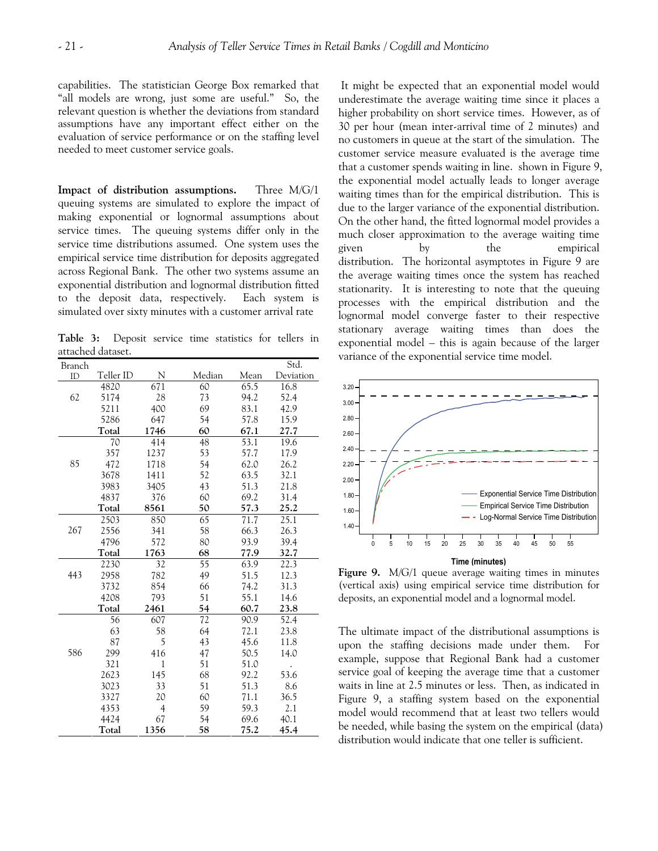capabilities. The statistician George Box remarked that "all models are wrong, just some are useful." So, the relevant question is whether the deviations from standard assumptions have any important effect either on the evaluation of service performance or on the staffing level needed to meet customer service goals.

**Impact of distribution assumptions.** Three M/G/1 queuing systems are simulated to explore the impact of making exponential or lognormal assumptions about service times. The queuing systems differ only in the service time distributions assumed. One system uses the empirical service time distribution for deposits aggregated across Regional Bank. The other two systems assume an exponential distribution and lognormal distribution fitted to the deposit data, respectively. Each system is simulated over sixty minutes with a customer arrival rate

**Table 3:** Deposit service time statistics for tellers in attached dataset.

| Branch |           |                |                 |      | Std.      |
|--------|-----------|----------------|-----------------|------|-----------|
| ID     | Teller ID | N              | Median          | Mean | Deviation |
|        | 4820      | 671            | 60              | 65.5 | 16.8      |
| 62     | 5174      | 28             | 73              | 94.2 | 52.4      |
|        | 5211      | 400            | 69              | 83.1 | 42.9      |
|        | 5286      | 647            | 54              | 57.8 | 15.9      |
|        | Total     | 1746           | 60              | 67.1 | 27.7      |
|        | 70        | 414            | 48              | 53.1 | 19.6      |
|        | 357       | 1237           | 53              | 57.7 | 17.9      |
| 85     | 472       | 1718           | 54              | 62.0 | 26.2      |
|        | 3678      | 1411           | 52              | 63.5 | 32.1      |
|        | 3983      | 3405           | 43              | 51.3 | 21.8      |
|        | 4837      | 376            | 60              | 69.2 | 31.4      |
|        | Total     | 8561           | 50              | 57.3 | 25.2      |
|        | 2503      | 850            | 65              | 71.7 | 25.1      |
| 267    | 2556      | 341            | 58              | 66.3 | 26.3      |
|        | 4796      | 572            | 80              | 93.9 | 39.4      |
|        | Total     | 1763           | 68              | 77.9 | 32.7      |
|        | 2230      | 32             | $\overline{55}$ | 63.9 | 22.3      |
| 443    | 2958      | 782            | 49              | 51.5 | 12.3      |
|        | 3732      | 854            | 66              | 74.2 | 31.3      |
|        | 4208      | 793            | 51              | 55.1 | 14.6      |
|        | Total     | 2461           | 54              | 60.7 | 23.8      |
|        | 56        | 607            | 72              | 90.9 | 52.4      |
|        | 63        | 58             | 64              | 72.1 | 23.8      |
|        | 87        | 5              | 43              | 45.6 | 11.8      |
| 586    | 299       | 416            | 47              | 50.5 | 14.0      |
|        | 321       | $\mathbf 1$    | 51              | 51.0 |           |
|        | 2623      | 145            | 68              | 92.2 | 53.6      |
|        | 3023      | 33             | 51              | 51.3 | 8.6       |
|        | 3327      | 20             | 60              | 71.1 | 36.5      |
|        | 4353      | $\overline{4}$ | 59              | 59.3 | 2.1       |
|        | 4424      | 67             | 54              | 69.6 | 40.1      |
|        | Total     | 1356           | 58              | 75.2 | 45.4      |

 It might be expected that an exponential model would underestimate the average waiting time since it places a higher probability on short service times. However, as of 30 per hour (mean inter-arrival time of 2 minutes) and no customers in queue at the start of the simulation. The customer service measure evaluated is the average time that a customer spends waiting in line. shown in Figure 9, the exponential model actually leads to longer average waiting times than for the empirical distribution. This is due to the larger variance of the exponential distribution. On the other hand, the fitted lognormal model provides a much closer approximation to the average waiting time given by the empirical distribution. The horizontal asymptotes in Figure 9 are the average waiting times once the system has reached stationarity. It is interesting to note that the queuing processes with the empirical distribution and the lognormal model converge faster to their respective stationary average waiting times than does the exponential model – this is again because of the larger variance of the exponential service time model.



**Figure 9.** M/G/1 queue average waiting times in minutes (vertical axis) using empirical service time distribution for deposits, an exponential model and a lognormal model.

The ultimate impact of the distributional assumptions is upon the staffing decisions made under them. For example, suppose that Regional Bank had a customer service goal of keeping the average time that a customer waits in line at 2.5 minutes or less. Then, as indicated in Figure 9, a staffing system based on the exponential model would recommend that at least two tellers would be needed, while basing the system on the empirical (data) distribution would indicate that one teller is sufficient.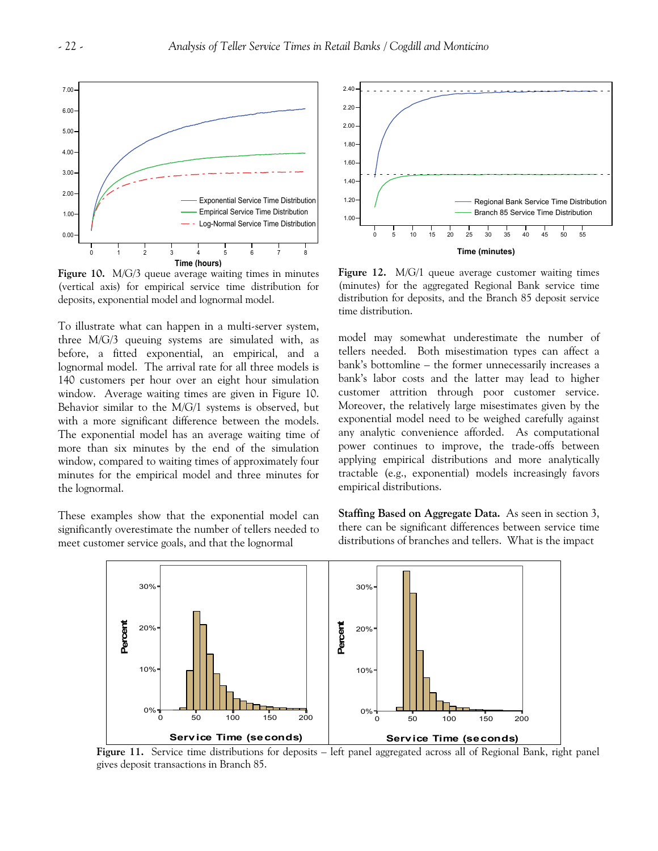

**Figure 10.** M/G/3 queue average waiting times in minutes (vertical axis) for empirical service time distribution for deposits, exponential model and lognormal model.

To illustrate what can happen in a multi-server system, three M/G/3 queuing systems are simulated with, as before, a fitted exponential, an empirical, and a lognormal model. The arrival rate for all three models is 140 customers per hour over an eight hour simulation window. Average waiting times are given in Figure 10. Behavior similar to the M/G/1 systems is observed, but with a more significant difference between the models. The exponential model has an average waiting time of more than six minutes by the end of the simulation window, compared to waiting times of approximately four minutes for the empirical model and three minutes for the lognormal.

These examples show that the exponential model can significantly overestimate the number of tellers needed to meet customer service goals, and that the lognormal



**Figure 12.** M/G/1 queue average customer waiting times (minutes) for the aggregated Regional Bank service time distribution for deposits, and the Branch 85 deposit service time distribution.

model may somewhat underestimate the number of tellers needed. Both misestimation types can affect a bank's bottomline – the former unnecessarily increases a bank's labor costs and the latter may lead to higher customer attrition through poor customer service. Moreover, the relatively large misestimates given by the exponential model need to be weighed carefully against any analytic convenience afforded. As computational power continues to improve, the trade-offs between applying empirical distributions and more analytically tractable (e.g., exponential) models increasingly favors empirical distributions.

**Staffing Based on Aggregate Data.** As seen in section 3, there can be significant differences between service time distributions of branches and tellers. What is the impact



**Figure 11.** Service time distributions for deposits – left panel aggregated across all of Regional Bank, right panel gives deposit transactions in Branch 85.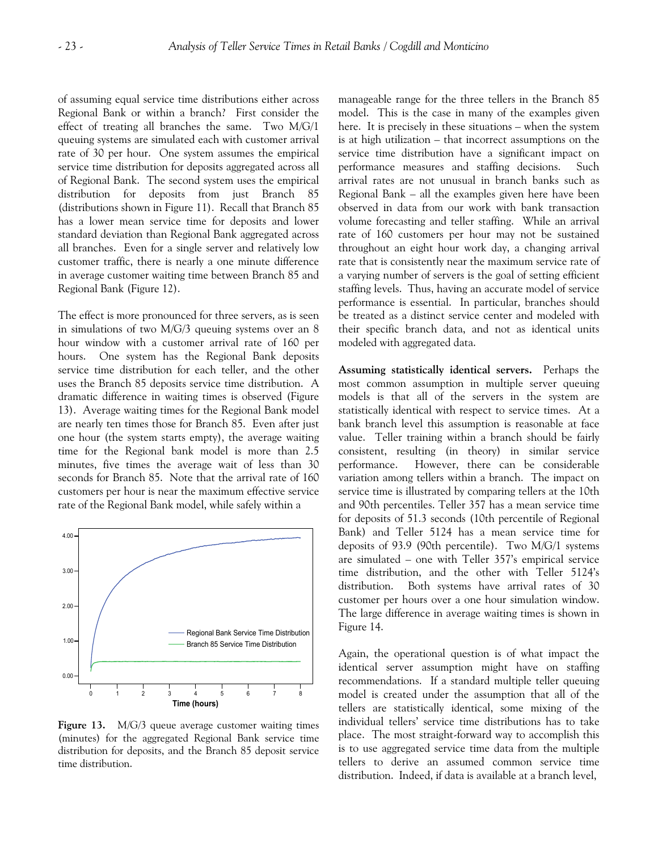of assuming equal service time distributions either across Regional Bank or within a branch? First consider the effect of treating all branches the same. Two M/G/1 queuing systems are simulated each with customer arrival rate of 30 per hour. One system assumes the empirical service time distribution for deposits aggregated across all of Regional Bank. The second system uses the empirical distribution for deposits from just Branch 85 (distributions shown in Figure 11). Recall that Branch 85 has a lower mean service time for deposits and lower standard deviation than Regional Bank aggregated across all branches. Even for a single server and relatively low customer traffic, there is nearly a one minute difference in average customer waiting time between Branch 85 and Regional Bank (Figure 12).

The effect is more pronounced for three servers, as is seen in simulations of two M/G/3 queuing systems over an 8 hour window with a customer arrival rate of 160 per hours. One system has the Regional Bank deposits service time distribution for each teller, and the other uses the Branch 85 deposits service time distribution. A dramatic difference in waiting times is observed (Figure 13). Average waiting times for the Regional Bank model are nearly ten times those for Branch 85. Even after just one hour (the system starts empty), the average waiting time for the Regional bank model is more than 2.5 minutes, five times the average wait of less than 30 seconds for Branch 85. Note that the arrival rate of 160 customers per hour is near the maximum effective service rate of the Regional Bank model, while safely within a



**Figure 13.** M/G/3 queue average customer waiting times (minutes) for the aggregated Regional Bank service time distribution for deposits, and the Branch 85 deposit service time distribution.

manageable range for the three tellers in the Branch 85 model. This is the case in many of the examples given here. It is precisely in these situations – when the system is at high utilization – that incorrect assumptions on the service time distribution have a significant impact on performance measures and staffing decisions. Such arrival rates are not unusual in branch banks such as Regional Bank – all the examples given here have been observed in data from our work with bank transaction volume forecasting and teller staffing. While an arrival rate of 160 customers per hour may not be sustained throughout an eight hour work day, a changing arrival rate that is consistently near the maximum service rate of a varying number of servers is the goal of setting efficient staffing levels. Thus, having an accurate model of service performance is essential. In particular, branches should be treated as a distinct service center and modeled with their specific branch data, and not as identical units modeled with aggregated data.

**Assuming statistically identical servers.** Perhaps the most common assumption in multiple server queuing models is that all of the servers in the system are statistically identical with respect to service times. At a bank branch level this assumption is reasonable at face value. Teller training within a branch should be fairly consistent, resulting (in theory) in similar service performance. However, there can be considerable variation among tellers within a branch. The impact on service time is illustrated by comparing tellers at the 10th and 90th percentiles. Teller 357 has a mean service time for deposits of 51.3 seconds (10th percentile of Regional Bank) and Teller 5124 has a mean service time for deposits of 93.9 (90th percentile). Two M/G/1 systems are simulated – one with Teller 357's empirical service time distribution, and the other with Teller 5124's distribution. Both systems have arrival rates of 30 customer per hours over a one hour simulation window. The large difference in average waiting times is shown in Figure 14.

Again, the operational question is of what impact the identical server assumption might have on staffing recommendations. If a standard multiple teller queuing model is created under the assumption that all of the tellers are statistically identical, some mixing of the individual tellers' service time distributions has to take place. The most straight-forward way to accomplish this is to use aggregated service time data from the multiple tellers to derive an assumed common service time distribution. Indeed, if data is available at a branch level,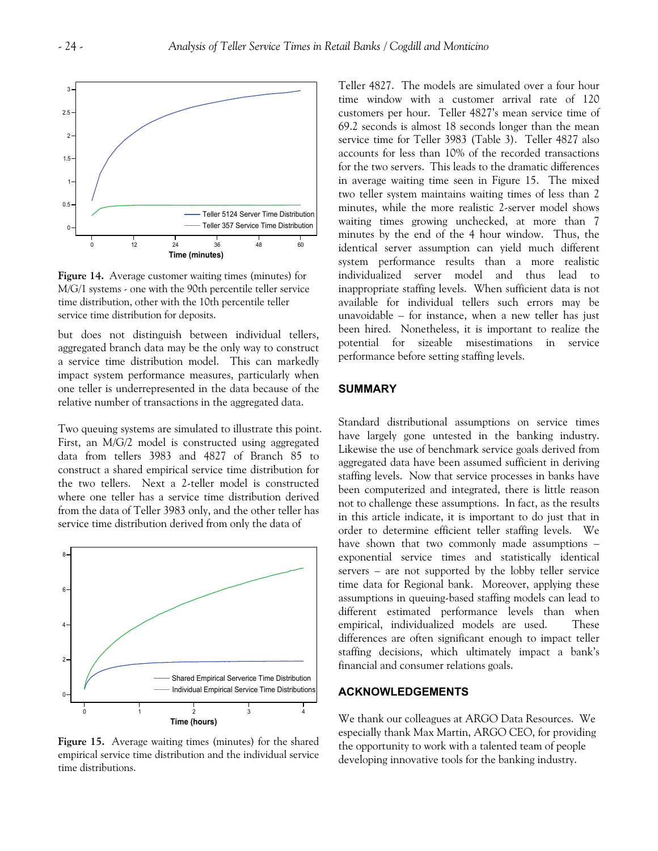

**Figure 14.** Average customer waiting times (minutes) for M/G/1 systems - one with the 90th percentile teller service time distribution, other with the 10th percentile teller service time distribution for deposits.

but does not distinguish between individual tellers, aggregated branch data may be the only way to construct a service time distribution model. This can markedly impact system performance measures, particularly when one teller is underrepresented in the data because of the relative number of transactions in the aggregated data.

Two queuing systems are simulated to illustrate this point. First, an M/G/2 model is constructed using aggregated data from tellers 3983 and 4827 of Branch 85 to construct a shared empirical service time distribution for the two tellers. Next a 2-teller model is constructed where one teller has a service time distribution derived from the data of Teller 3983 only, and the other teller has service time distribution derived from only the data of



**Figure 15.** Average waiting times (minutes) for the shared empirical service time distribution and the individual service time distributions.

Teller 4827. The models are simulated over a four hour time window with a customer arrival rate of 120 customers per hour. Teller 4827's mean service time of 69.2 seconds is almost 18 seconds longer than the mean service time for Teller 3983 (Table 3). Teller 4827 also accounts for less than 10% of the recorded transactions for the two servers. This leads to the dramatic differences in average waiting time seen in Figure 15. The mixed two teller system maintains waiting times of less than 2 minutes, while the more realistic 2-server model shows waiting times growing unchecked, at more than 7 minutes by the end of the 4 hour window. Thus, the identical server assumption can yield much different system performance results than a more realistic individualized server model and thus lead to inappropriate staffing levels. When sufficient data is not available for individual tellers such errors may be unavoidable – for instance, when a new teller has just been hired. Nonetheless, it is important to realize the potential for sizeable misestimations in service performance before setting staffing levels.

# **SUMMARY**

Standard distributional assumptions on service times have largely gone untested in the banking industry. Likewise the use of benchmark service goals derived from aggregated data have been assumed sufficient in deriving staffing levels. Now that service processes in banks have been computerized and integrated, there is little reason not to challenge these assumptions. In fact, as the results in this article indicate, it is important to do just that in order to determine efficient teller staffing levels. We have shown that two commonly made assumptions – exponential service times and statistically identical servers – are not supported by the lobby teller service time data for Regional bank. Moreover, applying these assumptions in queuing-based staffing models can lead to different estimated performance levels than when empirical, individualized models are used. These differences are often significant enough to impact teller staffing decisions, which ultimately impact a bank's financial and consumer relations goals.

## **ACKNOWLEDGEMENTS**

We thank our colleagues at ARGO Data Resources. We especially thank Max Martin, ARGO CEO, for providing the opportunity to work with a talented team of people developing innovative tools for the banking industry.